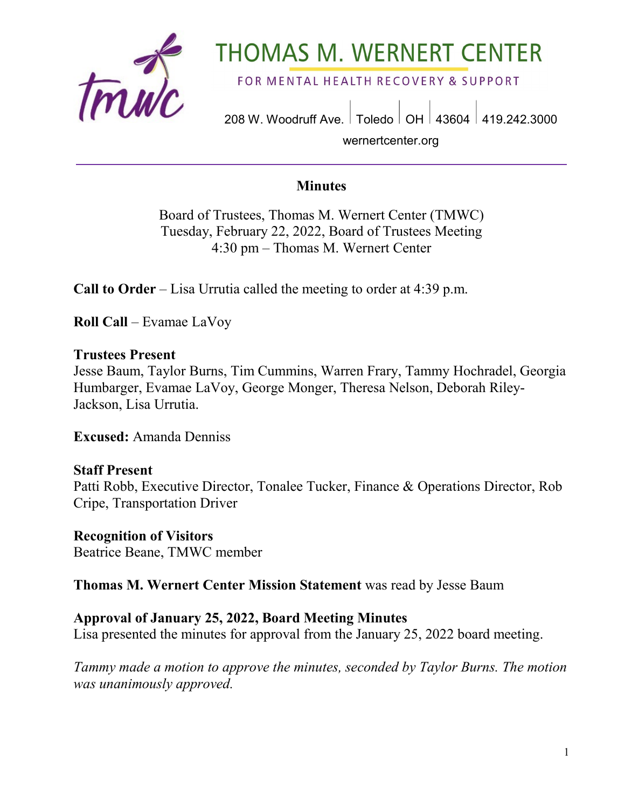

# **THOMAS M. WERNERT CENTER**

FOR MENTAL HEALTH RECOVERY & SUPPORT

208 W. Woodruff Ave. | Toledo | OH | 43604 | 419.242.3000 wernertcenter.org

#### **Minutes**

Board of Trustees, Thomas M. Wernert Center (TMWC) Tuesday, February 22, 2022, Board of Trustees Meeting 4:30 pm – Thomas M. Wernert Center

**Call to Order** – Lisa Urrutia called the meeting to order at 4:39 p.m.

**Roll Call** – Evamae LaVoy

#### **Trustees Present**

Jesse Baum, Taylor Burns, Tim Cummins, Warren Frary, Tammy Hochradel, Georgia Humbarger, Evamae LaVoy, George Monger, Theresa Nelson, Deborah Riley-Jackson, Lisa Urrutia.

**Excused:** Amanda Denniss

#### **Staff Present**

Patti Robb, Executive Director, Tonalee Tucker, Finance & Operations Director, Rob Cripe, Transportation Driver

**Recognition of Visitors**

Beatrice Beane, TMWC member

**Thomas M. Wernert Center Mission Statement** was read by Jesse Baum

#### **Approval of January 25, 2022, Board Meeting Minutes**

Lisa presented the minutes for approval from the January 25, 2022 board meeting.

*Tammy made a motion to approve the minutes, seconded by Taylor Burns. The motion was unanimously approved.*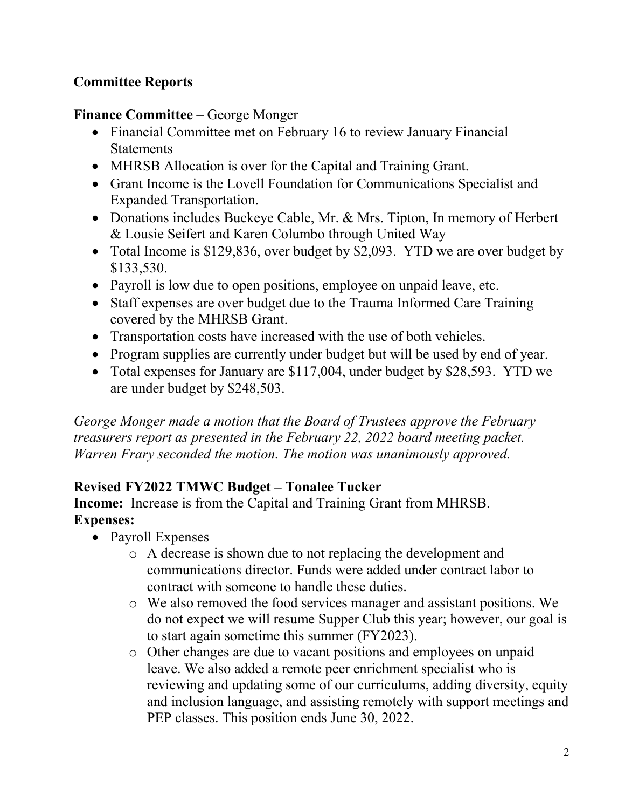## **Committee Reports**

**Finance Committee** – George Monger

- Financial Committee met on February 16 to review January Financial **Statements**
- MHRSB Allocation is over for the Capital and Training Grant.
- Grant Income is the Lovell Foundation for Communications Specialist and Expanded Transportation.
- Donations includes Buckeye Cable, Mr. & Mrs. Tipton, In memory of Herbert & Lousie Seifert and Karen Columbo through United Way
- Total Income is \$129,836, over budget by \$2,093. YTD we are over budget by \$133,530.
- Payroll is low due to open positions, employee on unpaid leave, etc.
- Staff expenses are over budget due to the Trauma Informed Care Training covered by the MHRSB Grant.
- Transportation costs have increased with the use of both vehicles.
- Program supplies are currently under budget but will be used by end of year.
- Total expenses for January are \$117,004, under budget by \$28,593. YTD we are under budget by \$248,503.

*George Monger made a motion that the Board of Trustees approve the February treasurers report as presented in the February 22, 2022 board meeting packet. Warren Frary seconded the motion. The motion was unanimously approved.* 

## **Revised FY2022 TMWC Budget – Tonalee Tucker**

**Income:** Increase is from the Capital and Training Grant from MHRSB. **Expenses:** 

- Payroll Expenses
	- o A decrease is shown due to not replacing the development and communications director. Funds were added under contract labor to contract with someone to handle these duties.
	- o We also removed the food services manager and assistant positions. We do not expect we will resume Supper Club this year; however, our goal is to start again sometime this summer (FY2023).
	- o Other changes are due to vacant positions and employees on unpaid leave. We also added a remote peer enrichment specialist who is reviewing and updating some of our curriculums, adding diversity, equity and inclusion language, and assisting remotely with support meetings and PEP classes. This position ends June 30, 2022.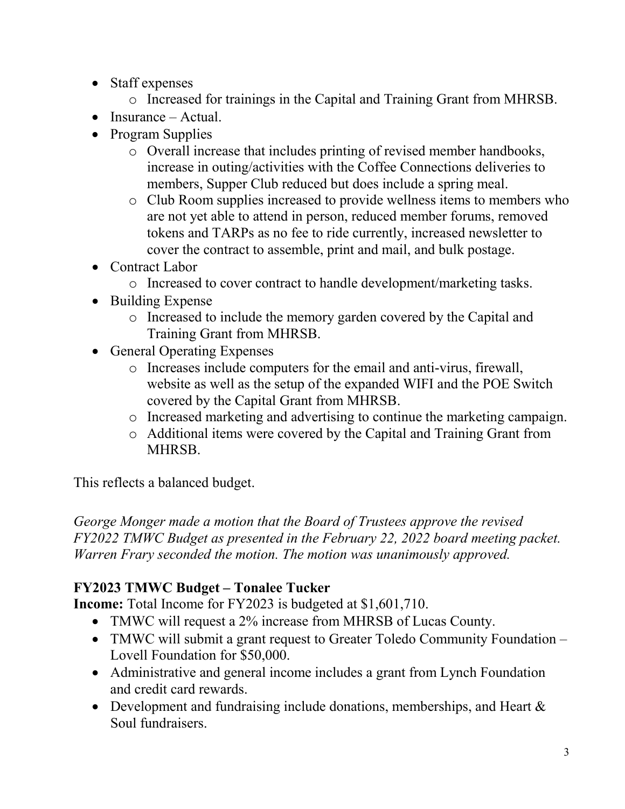- Staff expenses
	- o Increased for trainings in the Capital and Training Grant from MHRSB.
- Insurance Actual.
- Program Supplies
	- o Overall increase that includes printing of revised member handbooks, increase in outing/activities with the Coffee Connections deliveries to members, Supper Club reduced but does include a spring meal.
	- o Club Room supplies increased to provide wellness items to members who are not yet able to attend in person, reduced member forums, removed tokens and TARPs as no fee to ride currently, increased newsletter to cover the contract to assemble, print and mail, and bulk postage.
- Contract Labor
	- o Increased to cover contract to handle development/marketing tasks.
- Building Expense
	- o Increased to include the memory garden covered by the Capital and Training Grant from MHRSB.
- General Operating Expenses
	- o Increases include computers for the email and anti-virus, firewall, website as well as the setup of the expanded WIFI and the POE Switch covered by the Capital Grant from MHRSB.
	- o Increased marketing and advertising to continue the marketing campaign.
	- o Additional items were covered by the Capital and Training Grant from MHRSB.

This reflects a balanced budget.

*George Monger made a motion that the Board of Trustees approve the revised FY2022 TMWC Budget as presented in the February 22, 2022 board meeting packet. Warren Frary seconded the motion. The motion was unanimously approved.* 

# **FY2023 TMWC Budget – Tonalee Tucker**

**Income:** Total Income for FY2023 is budgeted at \$1,601,710.

- TMWC will request a 2% increase from MHRSB of Lucas County.
- TMWC will submit a grant request to Greater Toledo Community Foundation Lovell Foundation for \$50,000.
- Administrative and general income includes a grant from Lynch Foundation and credit card rewards.
- Development and fundraising include donations, memberships, and Heart & Soul fundraisers.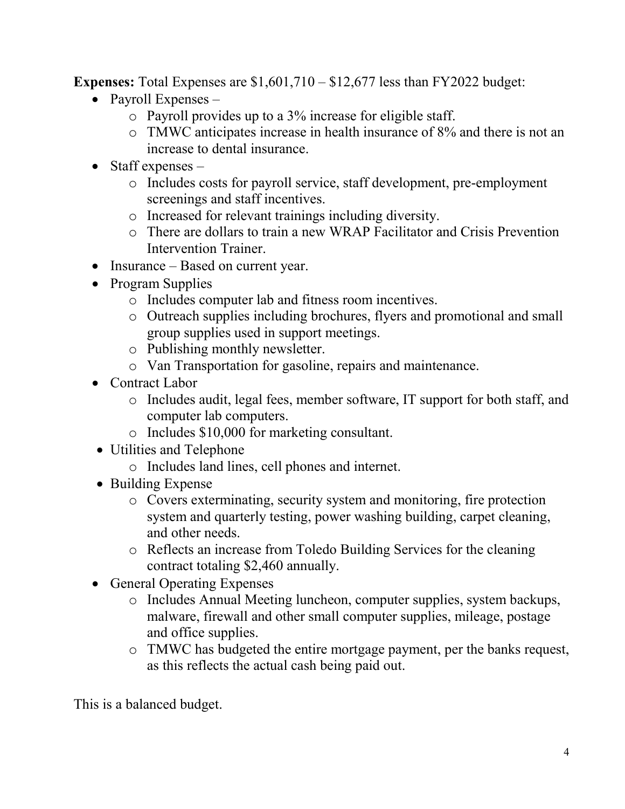**Expenses:** Total Expenses are \$1,601,710 – \$12,677 less than FY2022 budget:

- Payroll Expenses
	- o Payroll provides up to a 3% increase for eligible staff.
	- o TMWC anticipates increase in health insurance of 8% and there is not an increase to dental insurance.
- Staff expenses  $$ 
	- o Includes costs for payroll service, staff development, pre-employment screenings and staff incentives.
	- o Increased for relevant trainings including diversity.
	- o There are dollars to train a new WRAP Facilitator and Crisis Prevention Intervention Trainer.
- Insurance Based on current year.
- Program Supplies
	- o Includes computer lab and fitness room incentives.
	- o Outreach supplies including brochures, flyers and promotional and small group supplies used in support meetings.
	- o Publishing monthly newsletter.
	- o Van Transportation for gasoline, repairs and maintenance.
- Contract Labor
	- o Includes audit, legal fees, member software, IT support for both staff, and computer lab computers.
	- o Includes \$10,000 for marketing consultant.
- Utilities and Telephone
	- o Includes land lines, cell phones and internet.
- Building Expense
	- o Covers exterminating, security system and monitoring, fire protection system and quarterly testing, power washing building, carpet cleaning, and other needs.
	- o Reflects an increase from Toledo Building Services for the cleaning contract totaling \$2,460 annually.
- General Operating Expenses
	- o Includes Annual Meeting luncheon, computer supplies, system backups, malware, firewall and other small computer supplies, mileage, postage and office supplies.
	- o TMWC has budgeted the entire mortgage payment, per the banks request, as this reflects the actual cash being paid out.

This is a balanced budget.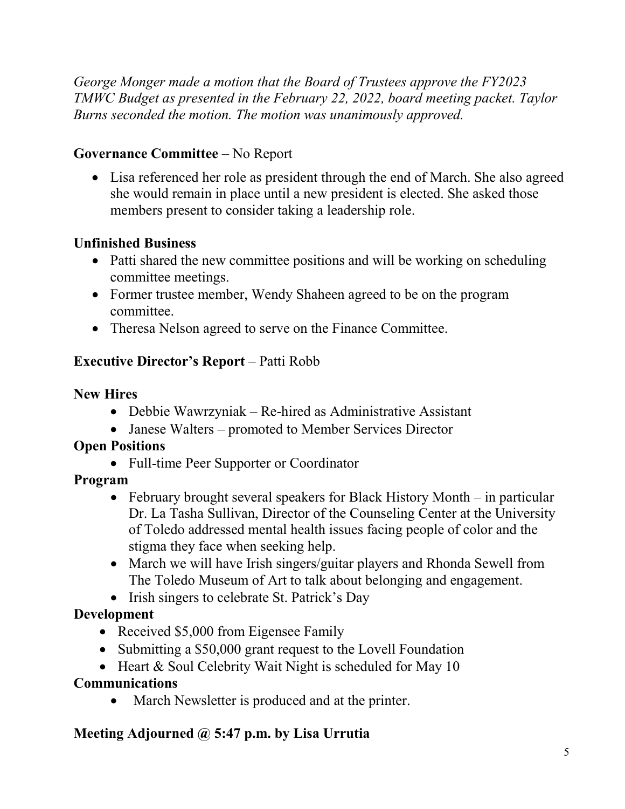*George Monger made a motion that the Board of Trustees approve the FY2023 TMWC Budget as presented in the February 22, 2022, board meeting packet. Taylor Burns seconded the motion. The motion was unanimously approved.* 

## **Governance Committee** – No Report

• Lisa referenced her role as president through the end of March. She also agreed she would remain in place until a new president is elected. She asked those members present to consider taking a leadership role.

## **Unfinished Business**

- Patti shared the new committee positions and will be working on scheduling committee meetings.
- Former trustee member, Wendy Shaheen agreed to be on the program committee.
- Theresa Nelson agreed to serve on the Finance Committee.

## **Executive Director's Report** – Patti Robb

#### **New Hires**

- Debbie Wawrzyniak Re-hired as Administrative Assistant
- Janese Walters promoted to Member Services Director

#### **Open Positions**

• Full-time Peer Supporter or Coordinator

## **Program**

- February brought several speakers for Black History Month in particular Dr. La Tasha Sullivan, Director of the Counseling Center at the University of Toledo addressed mental health issues facing people of color and the stigma they face when seeking help.
- March we will have Irish singers/guitar players and Rhonda Sewell from The Toledo Museum of Art to talk about belonging and engagement.
- Irish singers to celebrate St. Patrick's Day

## **Development**

- Received \$5,000 from Eigensee Family
- Submitting a \$50,000 grant request to the Lovell Foundation
- Heart & Soul Celebrity Wait Night is scheduled for May 10

#### **Communications**

• March Newsletter is produced and at the printer.

#### **Meeting Adjourned @ 5:47 p.m. by Lisa Urrutia**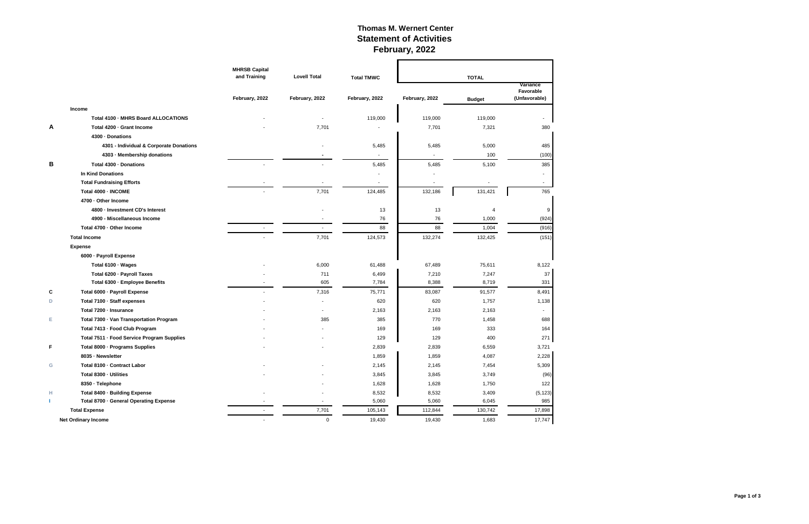## **Thomas M. Wernert Center Statement of Activities February, 2022**

|   |                                            | <b>MHRSB Capital</b><br>and Training | <b>Lovell Total</b>      | <b>Total TMWC</b> |                | <b>TOTAL</b>             |                          |
|---|--------------------------------------------|--------------------------------------|--------------------------|-------------------|----------------|--------------------------|--------------------------|
|   |                                            |                                      |                          |                   |                |                          | Variance<br>Favorable    |
|   |                                            | February, 2022                       | February, 2022           | February, 2022    | February, 2022 | <b>Budget</b>            | (Unfavorable)            |
|   | <b>Income</b>                              |                                      |                          |                   |                |                          |                          |
|   | Total 4100 - MHRS Board ALLOCATIONS        |                                      |                          | 119,000           | 119,000        | 119,000                  |                          |
| A | Total 4200 · Grant Income                  |                                      | 7,701                    |                   | 7,701          | 7,321                    | 380                      |
|   | 4300 · Donations                           |                                      |                          |                   |                |                          |                          |
|   | 4301 - Individual & Corporate Donations    |                                      |                          | 5,485             | 5,485          | 5,000                    | 485                      |
|   | 4303 - Membership donations                |                                      |                          |                   |                | 100                      | (100)                    |
| В | Total 4300 - Donations                     |                                      |                          | 5,485             | 5,485          | 5,100                    | 385                      |
|   | <b>In Kind Donations</b>                   |                                      |                          |                   |                |                          | -                        |
|   | <b>Total Fundraising Efforts</b>           |                                      |                          |                   |                |                          | $\overline{\phantom{0}}$ |
|   | Total 4000 - INCOME                        |                                      | 7,701                    | 124,485           | 132,186        | 131,421                  | 765                      |
|   | 4700 · Other Income                        |                                      |                          |                   |                |                          |                          |
|   | 4800 · Investment CD's Interest            |                                      |                          | 13                | 13             | $\boldsymbol{\varDelta}$ | 9                        |
|   | 4900 - Miscellaneous Income                |                                      |                          | 76                | 76             | 1,000                    | (924)                    |
|   | Total 4700 - Other Income                  | $\sim$                               | $\overline{\phantom{a}}$ | 88                | 88             | 1,004                    | (916)                    |
|   | <b>Total Income</b>                        |                                      | 7,701                    | 124,573           | 132,274        | 132,425                  | (151)                    |
|   | <b>Expense</b>                             |                                      |                          |                   |                |                          |                          |
|   | 6000 · Payroll Expense                     |                                      |                          |                   |                |                          |                          |
|   | Total 6100 · Wages                         |                                      | 6,000                    | 61,488            | 67,489         | 75,611                   | 8,122                    |
|   | Total 6200 · Payroll Taxes                 |                                      | 711                      | 6,499             | 7,210          | 7,247                    | 37                       |
|   | Total 6300 · Employee Benefits             |                                      | 605                      | 7,784             | 8,388          | 8,719                    | 331                      |
| C | Total 6000 · Payroll Expense               |                                      | 7,316                    | 75,771            | 83,087         | 91,577                   | 8,491                    |
| D | Total 7100 - Staff expenses                |                                      |                          | 620               | 620            | 1,757                    | 1,138                    |
|   | Total 7200 - Insurance                     |                                      |                          | 2,163             | 2,163          | 2,163                    | $\overline{\phantom{a}}$ |
| Е | Total 7300 - Van Transportation Program    |                                      | 385                      | 385               | 770            | 1,458                    | 688                      |
|   | Total 7413 - Food Club Program             |                                      |                          | 169               | 169            | 333                      | 164                      |
|   | Total 7511 - Food Service Program Supplies |                                      |                          | 129               | 129            | 400                      | 271                      |
| F | Total 8000 - Programs Supplies             |                                      |                          | 2,839             | 2,839          | 6,559                    | 3,721                    |
|   | 8035 - Newsletter                          |                                      |                          | 1,859             | 1,859          | 4,087                    | 2,228                    |
| G | Total 8100 - Contract Labor                |                                      |                          | 2,145             | 2,145          | 7,454                    | 5,309                    |
|   | Total 8300 - Utilities                     |                                      |                          | 3,845             | 3,845          | 3,749                    | (96)                     |
|   | 8350 · Telephone                           |                                      |                          | 1,628             | 1,628          | 1,750                    | 122                      |
| н | Total 8400 · Building Expense              |                                      |                          | 8,532             | 8,532          | 3,409                    | (5, 123)                 |
| т | Total 8700 · General Operating Expense     |                                      |                          | 5,060             | 5,060          | 6,045                    | 985                      |
|   | <b>Total Expense</b>                       | $\sim$                               | 7,701                    | 105,143           | 112,844        | 130,742                  | 17,898                   |
|   | <b>Net Ordinary Income</b>                 |                                      | $\mathsf 0$              | 19,430            | 19,430         | 1,683                    | 17,747                   |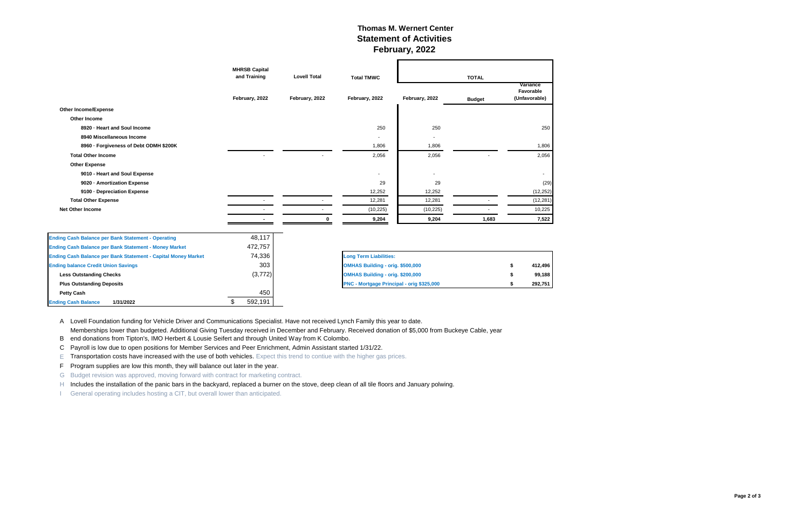#### **Thomas M. Wernert Center Statement of Activities February, 2022**

|                                                               | <b>MHRSB Capital</b><br>and Training | <b>Lovell Total</b>              | <b>Total TMWC</b>                         | <b>TOTAL</b>   |               |                                        |  |
|---------------------------------------------------------------|--------------------------------------|----------------------------------|-------------------------------------------|----------------|---------------|----------------------------------------|--|
|                                                               | February, 2022                       | February, 2022                   | February, 2022                            | February, 2022 | <b>Budget</b> | Variance<br>Favorable<br>(Unfavorable) |  |
| <b>Other Income/Expense</b>                                   |                                      |                                  |                                           |                |               |                                        |  |
| <b>Other Income</b>                                           |                                      |                                  |                                           |                |               |                                        |  |
| 8920 - Heart and Soul Income                                  |                                      |                                  | 250                                       | 250            |               | 250                                    |  |
| 8940 Miscellaneous Income                                     |                                      |                                  |                                           |                |               |                                        |  |
| 8960 - Forgiveness of Debt ODMH \$200K                        |                                      |                                  | 1,806                                     | 1,806          |               | 1,806                                  |  |
| <b>Total Other Income</b>                                     |                                      |                                  | 2,056                                     | 2,056          |               | 2,056                                  |  |
| <b>Other Expense</b>                                          |                                      |                                  |                                           |                |               |                                        |  |
| 9010 - Heart and Soul Expense                                 |                                      |                                  | $\blacksquare$                            |                |               |                                        |  |
| 9020 - Amortization Expense                                   |                                      |                                  | 29                                        | 29             |               | (29)                                   |  |
| 9100 - Depreciation Expense                                   |                                      |                                  | 12,252                                    | 12,252         |               | (12, 252)                              |  |
| <b>Total Other Expense</b>                                    |                                      |                                  | 12,281                                    | 12,281         |               | (12, 281)                              |  |
| <b>Net Other Income</b>                                       |                                      |                                  | (10, 225)                                 | (10, 225)      |               | 10,225                                 |  |
|                                                               |                                      |                                  | 9,204                                     | 9,204          | 1,683         | 7,522                                  |  |
| <b>Ending Cash Balance per Bank Statement - Operating</b>     | 48,117                               |                                  |                                           |                |               |                                        |  |
| <b>Ending Cash Balance per Bank Statement - Money Market</b>  | 472,757                              |                                  |                                           |                |               |                                        |  |
| Ending Cash Balance per Bank Statement - Capital Money Market | 74,336                               |                                  | <b>Long Term Liabilities:</b>             |                |               |                                        |  |
| <b>Ending balance Credit Union Savings</b>                    | 303                                  | OMHAS Building - orig. \$500,000 |                                           |                |               | 412,496                                |  |
| <b>Less Outstanding Checks</b>                                | (3, 772)                             |                                  | OMHAS Building - orig. \$200,000          |                |               | 99,188                                 |  |
| <b>Plus Outstanding Deposits</b>                              |                                      |                                  | PNC - Mortgage Principal - orig \$325,000 |                |               | 292,751                                |  |
| <b>Petty Cash</b>                                             | 450                                  |                                  |                                           |                |               |                                        |  |
| 1/31/2022<br><b>Ending Cash Balance</b>                       | 592,191<br>\$                        |                                  |                                           |                |               |                                        |  |

A Lovell Foundation funding for Vehicle Driver and Communications Specialist. Have not received Lynch Family this year to date.

E Transportation costs have increased with the use of both vehicles. Expect this trend to contiue with the higher gas prices.

F Program supplies are low this month, they will balance out later in the year.

G Budget revision was approved, moving forward with contract for marketing contract.

H Includes the installation of the panic bars in the backyard, replaced a burner on the stove, deep clean of all tile floors and January polwing.

B end donations from Tipton's, IMO Herbert & Lousie Seifert and through United Way from K Colombo.

C Payroll is low due to open positions for Member Services and Peer Enrichment, Admin Assistant started 1/31/22.

I General operating includes hosting a CIT, but overall lower than anticipated.

Memberships lower than budgeted. Additional Giving Tuesday received in December and February. Received donation of \$5,000 from Buckeye Cable, year